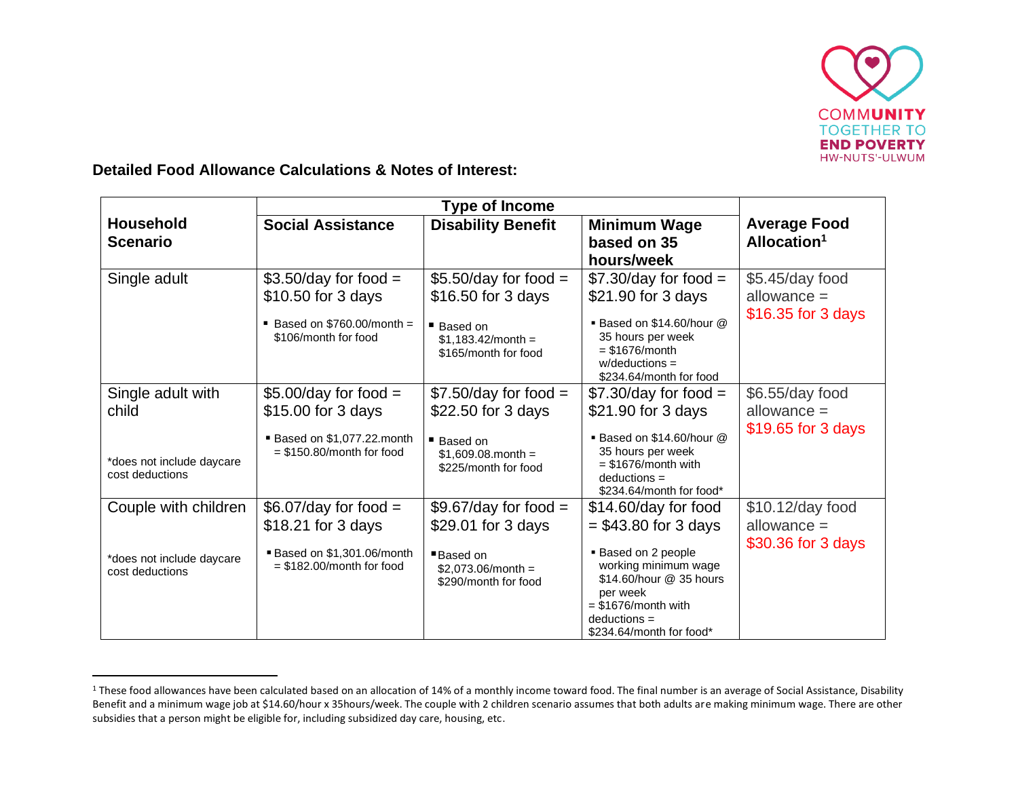

**Detailed Food Allowance Calculations & Notes of Interest:**

|                           | <b>Type of Income</b>                                            |                                              |                                                |                         |
|---------------------------|------------------------------------------------------------------|----------------------------------------------|------------------------------------------------|-------------------------|
| <b>Household</b>          | <b>Social Assistance</b>                                         | <b>Disability Benefit</b>                    | <b>Minimum Wage</b>                            | <b>Average Food</b>     |
| <b>Scenario</b>           |                                                                  |                                              | based on 35                                    | Allocation <sup>1</sup> |
|                           |                                                                  |                                              | hours/week                                     |                         |
| Single adult              | $$3.50/day$ for food =                                           | $$5.50/day$ for food =                       | $$7.30/day$ for food =                         | \$5.45/day food         |
|                           | \$10.50 for 3 days                                               | \$16.50 for 3 days                           | \$21.90 for 3 days                             | $allowance =$           |
|                           |                                                                  |                                              |                                                | \$16.35 for 3 days      |
|                           | $\blacksquare$ Based on \$760.00/month =<br>\$106/month for food | ■ Based on<br>$$1,183.42/m$ onth =           | ■ Based on \$14.60/hour @<br>35 hours per week |                         |
|                           |                                                                  | \$165/month for food                         | $=$ \$1676/month                               |                         |
|                           |                                                                  |                                              | $w$ /deductions =<br>\$234.64/month for food   |                         |
| Single adult with         | $$5.00/day$ for food =                                           | $$7.50/day$ for food =                       | $$7.30/day$ for food =                         | \$6.55/day food         |
|                           |                                                                  |                                              |                                                | $allowance =$           |
| child                     | \$15.00 for 3 days                                               | \$22.50 for 3 days                           | \$21.90 for 3 days                             |                         |
|                           | Based on \$1,077.22.month                                        | ■ Based on                                   | ■ Based on \$14.60/hour @                      | \$19.65 for 3 days      |
| *does not include daycare | $=$ \$150.80/month for food                                      | $$1,609.08$ month =                          | 35 hours per week                              |                         |
| cost deductions           |                                                                  | \$225/month for food                         | $=$ \$1676/month with<br>$deductions =$        |                         |
|                           |                                                                  |                                              | \$234.64/month for food*                       |                         |
| Couple with children      | $$6.07$ /day for food =                                          | $$9.67$ /day for food =                      | \$14.60/day for food                           | $$10.12$ /day food      |
|                           | \$18.21 for 3 days                                               | \$29.01 for 3 days                           | $=$ \$43.80 for 3 days                         | allowance $=$           |
|                           |                                                                  |                                              |                                                | \$30.36 for 3 days      |
| *does not include daycare | Based on \$1,301.06/month<br>$=$ \$182.00/month for food         | ■Based on                                    | ■ Based on 2 people<br>working minimum wage    |                         |
| cost deductions           |                                                                  | $$2,073.06/m$ onth =<br>\$290/month for food | \$14.60/hour @ 35 hours                        |                         |
|                           |                                                                  |                                              | per week                                       |                         |
|                           |                                                                  |                                              | $=$ \$1676/month with                          |                         |
|                           |                                                                  |                                              | $deductions =$<br>\$234.64/month for food*     |                         |
|                           |                                                                  |                                              |                                                |                         |

<sup>&</sup>lt;sup>1</sup> These food allowances have been calculated based on an allocation of 14% of a monthly income toward food. The final number is an average of Social Assistance, Disability Benefit and a minimum wage job at \$14.60/hour x 35hours/week. The couple with 2 children scenario assumes that both adults are making minimum wage. There are other subsidies that a person might be eligible for, including subsidized day care, housing, etc.